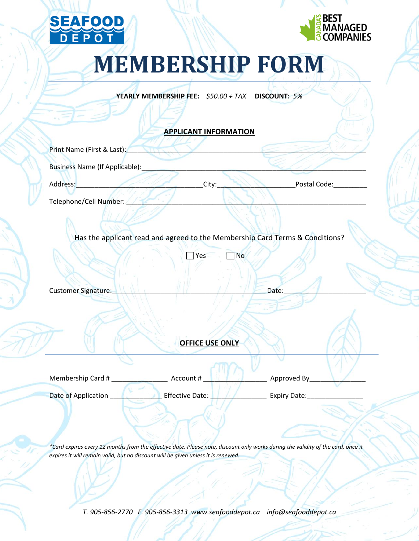



## **MEMBERSHIP FORM**

**YEARLY MEMBERSHIP FEE:** *\$50.00 + TAX* **DISCOUNT:** *5%*

**APPLICANT INFORMATION**

| <b>APPLICANT INFORMATION</b>                                                 |                        |           |              |
|------------------------------------------------------------------------------|------------------------|-----------|--------------|
| Print Name (First & Last):                                                   |                        |           |              |
| Business Name (If Applicable):                                               |                        |           |              |
| Address:                                                                     | City:                  |           | Postal Code: |
| Telephone/Cell Number:                                                       |                        |           |              |
| Has the applicant read and agreed to the Membership Card Terms & Conditions? |                        |           |              |
|                                                                              | Yes                    | <b>No</b> |              |
| Customer Signature:                                                          |                        | Date:     |              |
|                                                                              | <b>OFFICE USE ONLY</b> |           |              |

Membership Card # \_\_\_\_\_\_\_\_\_\_\_\_\_\_\_ Account # \_\_\_\_\_\_\_\_\_\_\_\_\_\_\_\_\_ Approved By\_\_\_\_\_\_\_\_\_\_\_\_\_\_\_ Date of Application **Disk Contract Expiry Date:** Letter Bate: Letter Application **Contract Expiry Date:** 

*\*Card expires every 12 months from the effective date. Please note, discount only works during the validity of the card, once it expires it will remain valid, but no discount will be given unless it is renewed.*

*T. 905-856-2770 F. 905-856-3313 www.seafooddepot.ca info@seafooddepot.ca*